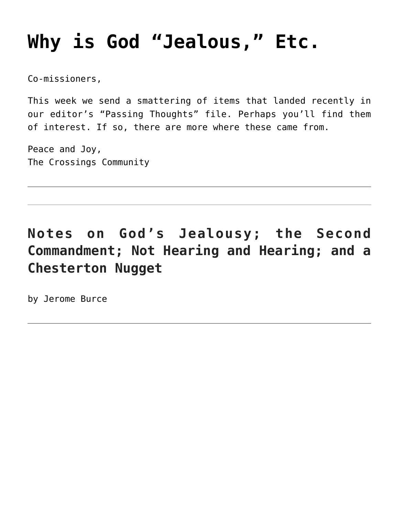# **[Why is God "Jealous," Etc.](https://crossings.org/why-is-god-jealous-etc/)**

Co-missioners,

This week we send a smattering of items that landed recently in our editor's "Passing Thoughts" file. Perhaps you'll find them of interest. If so, there are more where these came from.

Peace and Joy, The Crossings Community

# **Notes on God's Jealousy; the Second Commandment; Not Hearing and Hearing; and a Chesterton Nugget**

by Jerome Burce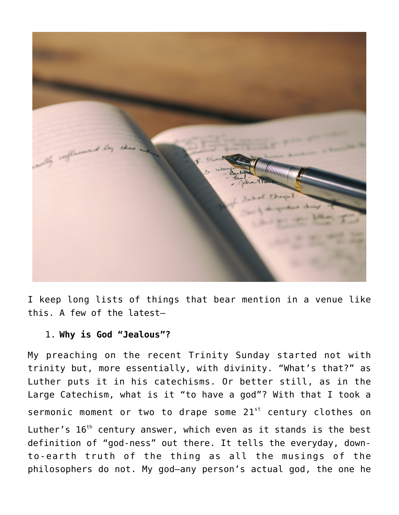

I keep long lists of things that bear mention in a venue like this. A few of the latest—

## 1. **Why is God "Jealous"?**

My preaching on the recent Trinity Sunday started not with trinity but, more essentially, with divinity. "What's that?" as Luther puts it in his catechisms. Or better still, as in the Large Catechism, what is it "to have a god"? With that I took a sermonic moment or two to drape some  $21<sup>st</sup>$  century clothes on Luther's  $16<sup>th</sup>$  century answer, which even as it stands is the best definition of "god-ness" out there. It tells the everyday, downto-earth truth of the thing as all the musings of the philosophers do not. My god—any person's actual god, the one he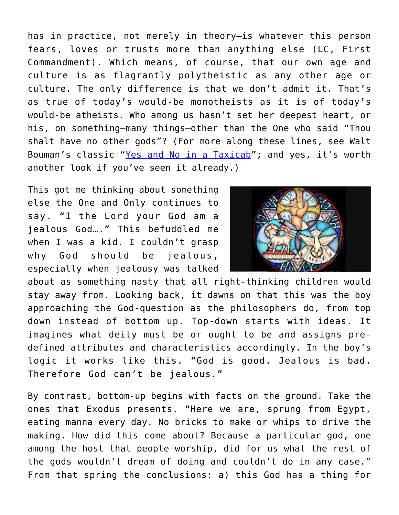has in practice, not merely in theory—is whatever this person fears, loves or trusts more than anything else (LC, First Commandment). Which means, of course, that our own age and culture is as flagrantly polytheistic as any other age or culture. The only difference is that we don't admit it. That's as true of today's would-be monotheists as it is of today's would-be atheists. Who among us hasn't set her deepest heart, or his, on something—many things—other than the One who said "Thou shalt have no other gods"? (For more along these lines, see Walt Bouman's classic "[Yes and No in a Taxicab"](https://crossings.org/walter-r-bouman-r-i-p-gods-yes-and-gods-no/); and yes, it's worth another look if you've seen it already.)

This got me thinking about something else the One and Only continues to say. "I the Lord your God am a jealous God…." This befuddled me when I was a kid. I couldn't grasp why God should be jealous, especially when jealousy was talked



about as something nasty that all right-thinking children would stay away from. Looking back, it dawns on that this was the boy approaching the God-question as the philosophers do, from top down instead of bottom up. Top-down starts with ideas. It imagines what deity must be or ought to be and assigns predefined attributes and characteristics accordingly. In the boy's logic it works like this. "God is good. Jealous is bad. Therefore God can't be jealous."

By contrast, bottom-up begins with facts on the ground. Take the ones that Exodus presents. "Here we are, sprung from Egypt, eating manna every day. No bricks to make or whips to drive the making. How did this come about? Because a particular god, one among the host that people worship, did for us what the rest of the gods wouldn't dream of doing and couldn't do in any case." From that spring the conclusions: a) this God has a thing for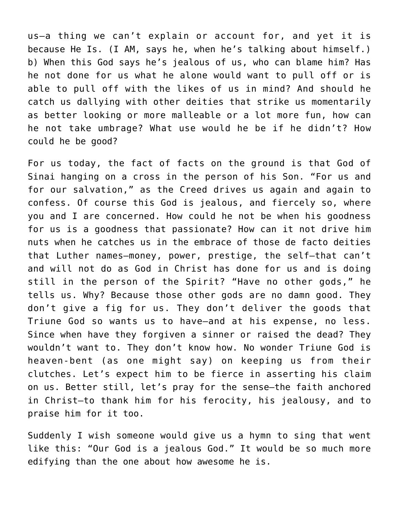us—a thing we can't explain or account for, and yet it is because He Is. (I AM, says he, when he's talking about himself.) b) When this God says he's jealous of us, who can blame him? Has he not done for us what he alone would want to pull off or is able to pull off with the likes of us in mind? And should he catch us dallying with other deities that strike us momentarily as better looking or more malleable or a lot more fun, how can he not take umbrage? What use would he be if he didn't? How could he be good?

For us today, the fact of facts on the ground is that God of Sinai hanging on a cross in the person of his Son. "For us and for our salvation," as the Creed drives us again and again to confess. Of course this God is jealous, and fiercely so, where you and I are concerned. How could he not be when his goodness for us is a goodness that passionate? How can it not drive him nuts when he catches us in the embrace of those de facto deities that Luther names—money, power, prestige, the self—that can't and will not do as God in Christ has done for us and is doing still in the person of the Spirit? "Have no other gods," he tells us. Why? Because those other gods are no damn good. They don't give a fig for us. They don't deliver the goods that Triune God so wants us to have—and at his expense, no less. Since when have they forgiven a sinner or raised the dead? They wouldn't want to. They don't know how. No wonder Triune God is heaven-bent (as one might say) on keeping us from their clutches. Let's expect him to be fierce in asserting his claim on us. Better still, let's pray for the sense—the faith anchored in Christ—to thank him for his ferocity, his jealousy, and to praise him for it too.

Suddenly I wish someone would give us a hymn to sing that went like this: "Our God is a jealous God." It would be so much more edifying than the one about how awesome he is.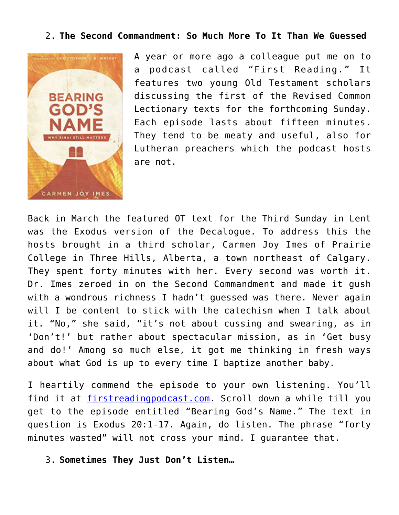### 2. **The Second Commandment: So Much More To It Than We Guessed**



A year or more ago a colleague put me on to a podcast called "First Reading." It features two young Old Testament scholars discussing the first of the Revised Common Lectionary texts for the forthcoming Sunday. Each episode lasts about fifteen minutes. They tend to be meaty and useful, also for Lutheran preachers which the podcast hosts are not.

Back in March the featured OT text for the Third Sunday in Lent was the Exodus version of the Decalogue. To address this the hosts brought in a third scholar, Carmen Joy Imes of Prairie College in Three Hills, Alberta, a town northeast of Calgary. They spent forty minutes with her. Every second was worth it. Dr. Imes zeroed in on the Second Commandment and made it gush with a wondrous richness I hadn't quessed was there. Never again will I be content to stick with the catechism when I talk about it. "No," she said, "it's not about cussing and swearing, as in 'Don't!' but rather about spectacular mission, as in 'Get busy and do!' Among so much else, it got me thinking in fresh ways about what God is up to every time I baptize another baby.

I heartily commend the episode to your own listening. You'll find it at *firstreadingpodcast.com*. Scroll down a while till you get to the episode entitled "Bearing God's Name." The text in question is Exodus 20:1-17. Again, do listen. The phrase "forty minutes wasted" will not cross your mind. I guarantee that.

3. **Sometimes They Just Don't Listen…**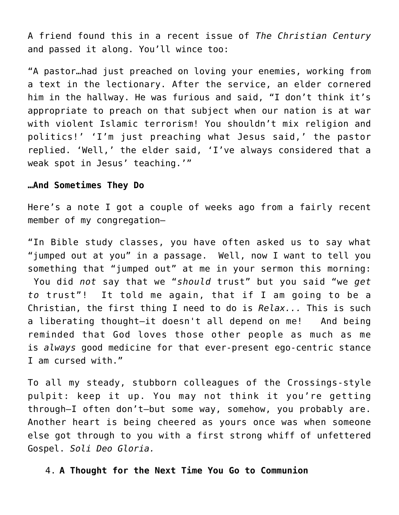A friend found this in a recent issue of *The Christian Century* and passed it along. You'll wince too:

"A pastor…had just preached on loving your enemies, working from a text in the lectionary. After the service, an elder cornered him in the hallway. He was furious and said, "I don't think it's appropriate to preach on that subject when our nation is at war with violent Islamic terrorism! You shouldn't mix religion and politics!' 'I'm just preaching what Jesus said,' the pastor replied. 'Well,' the elder said, 'I've always considered that a weak spot in Jesus' teaching.'"

#### **…And Sometimes They Do**

Here's a note I got a couple of weeks ago from a fairly recent member of my congregation—

"In Bible study classes, you have often asked us to say what "jumped out at you" in a passage. Well, now I want to tell you something that "jumped out" at me in your sermon this morning: You did *not* say that we "*should* trust" but you said "we *get to* trust"! It told me again, that if I am going to be a Christian, the first thing I need to do is *Relax...* This is such a liberating thought—it doesn't all depend on me! And being reminded that God loves those other people as much as me is *always* good medicine for that ever-present ego-centric stance I am cursed with."

To all my steady, stubborn colleagues of the Crossings-style pulpit: keep it up. You may not think it you're getting through—I often don't—but some way, somehow, you probably are. Another heart is being cheered as yours once was when someone else got through to you with a first strong whiff of unfettered Gospel. *Soli Deo Gloria.*

4. **A Thought for the Next Time You Go to Communion**